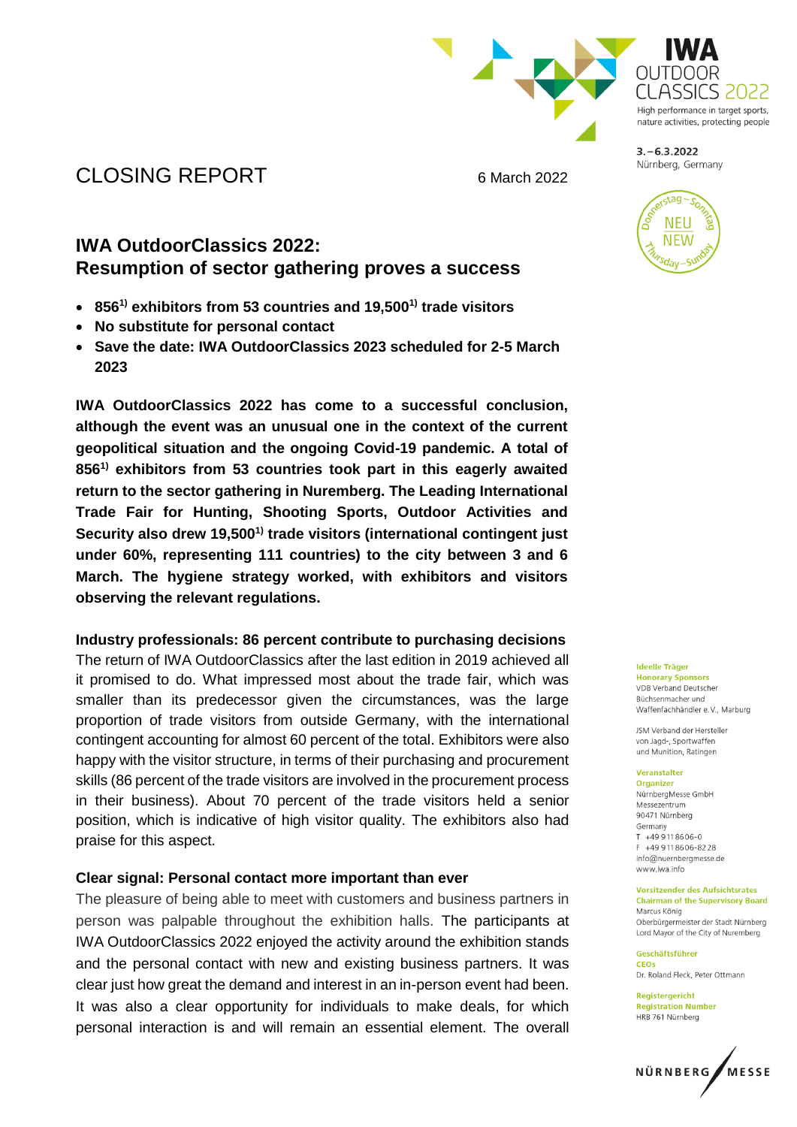

High performance in target sports. nature activities, protecting people

CLOSING REPORT 6 March 2022

# **IWA OutdoorClassics 2022: Resumption of sector gathering proves a success**

- **8561) exhibitors from 53 countries and 19,5001) trade visitors**
- **No substitute for personal contact**
- **Save the date: IWA OutdoorClassics 2023 scheduled for 2-5 March 2023**

**IWA OutdoorClassics 2022 has come to a successful conclusion, although the event was an unusual one in the context of the current geopolitical situation and the ongoing Covid-19 pandemic. A total of 8561) exhibitors from 53 countries took part in this eagerly awaited return to the sector gathering in Nuremberg. The Leading International Trade Fair for Hunting, Shooting Sports, Outdoor Activities and Security also drew 19,5001) trade visitors (international contingent just under 60%, representing 111 countries) to the city between 3 and 6 March. The hygiene strategy worked, with exhibitors and visitors observing the relevant regulations.**

## **Industry professionals: 86 percent contribute to purchasing decisions**

The return of IWA OutdoorClassics after the last edition in 2019 achieved all it promised to do. What impressed most about the trade fair, which was smaller than its predecessor given the circumstances, was the large proportion of trade visitors from outside Germany, with the international contingent accounting for almost 60 percent of the total. Exhibitors were also happy with the visitor structure, in terms of their purchasing and procurement skills (86 percent of the trade visitors are involved in the procurement process in their business). About 70 percent of the trade visitors held a senior position, which is indicative of high visitor quality. The exhibitors also had praise for this aspect.

## **Clear signal: Personal contact more important than ever**

The pleasure of being able to meet with customers and business partners in person was palpable throughout the exhibition halls. The participants at IWA OutdoorClassics 2022 enjoyed the activity around the exhibition stands and the personal contact with new and existing business partners. It was clear just how great the demand and interest in an in-person event had been. It was also a clear opportunity for individuals to make deals, for which personal interaction is and will remain an essential element. The overall



Nürnberg, Germany

**Ideelle Träger Honorary Sponsors** VDB Verband Deutscher

Büchsenmacher und Waffenfachhändler e.V., Marburg

JSM Verband der Hersteller von Jagd-, Sportwaffen und Munition, Ratingen

### Veranstalter

Organizer NürnberaMesse GmbH Messezentrum 90471 Nürnberg Germany  $T + 499118606 - 0$  $F + 499118606 - 8228$ info@nuernberamesse.de www.iwa.info

#### **Vorsitzender des Aufsichtsrates Chairman of the Supervisory Board** Marcus König

Oberbürgermeister der Stadt Nürnberg Lord Mayor of the City of Nuremberg

Geschäftsführer CEOS Dr. Roland Fleck, Peter Ottmann

Reaisteraericht **Registration Number** HRB 761 Nürnberg